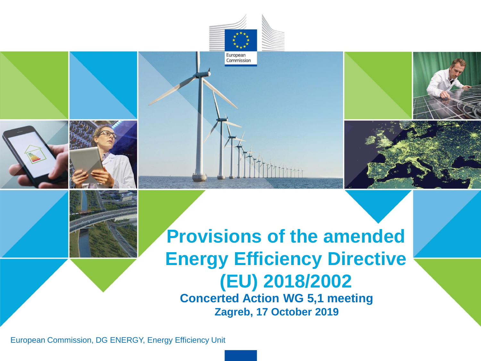

European Commission

European Commission, DG ENERGY, Energy Efficiency Unit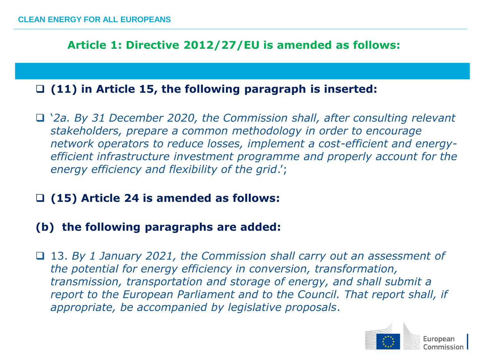**Article 1: Directive 2012/27/EU is amended as follows:** 

## ❑ **(11) in Article 15, the following paragraph is inserted:**

- ❑ '*2a. By 31 December 2020, the Commission shall, after consulting relevant stakeholders, prepare a common methodology in order to encourage network operators to reduce losses, implement a cost-efficient and energyefficient infrastructure investment programme and properly account for the energy efficiency and flexibility of the grid*.';
- ❑ **(15) Article 24 is amended as follows:**

## **(b) the following paragraphs are added:**

❑ 13. *By 1 January 2021, the Commission shall carry out an assessment of the potential for energy efficiency in conversion, transformation, transmission, transportation and storage of energy, and shall submit a report to the European Parliament and to the Council. That report shall, if appropriate, be accompanied by legislative proposals*.

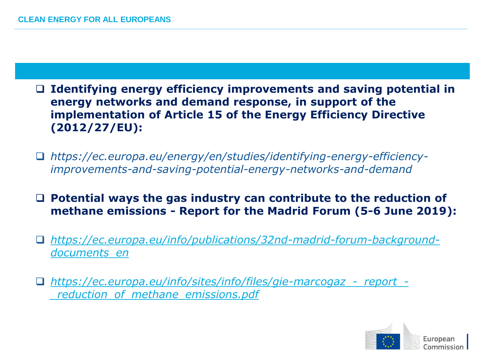## ❑ **Identifying energy efficiency improvements and saving potential in energy networks and demand response, in support of the implementation of Article 15 of the Energy Efficiency Directive (2012/27/EU):**

- ❑ *https://ec.europa.eu/energy/en/studies/identifying-energy-efficiencyimprovements-and-saving-potential-energy-networks-and-demand*
- ❑ **Potential ways the gas industry can contribute to the reduction of methane emissions - Report for the Madrid Forum (5-6 June 2019):**
- ❑ *[https://ec.europa.eu/info/publications/32nd-madrid-forum-background](https://ec.europa.eu/info/publications/32nd-madrid-forum-background-documents_en)documents\_en*
- ❑ *[https://ec.europa.eu/info/sites/info/files/gie-marcogaz\\_-\\_report\\_-](https://ec.europa.eu/info/sites/info/files/gie-marcogaz_-_report_-_reduction_of_methane_emissions.pdf) \_reduction\_of\_methane\_emissions.pdf*